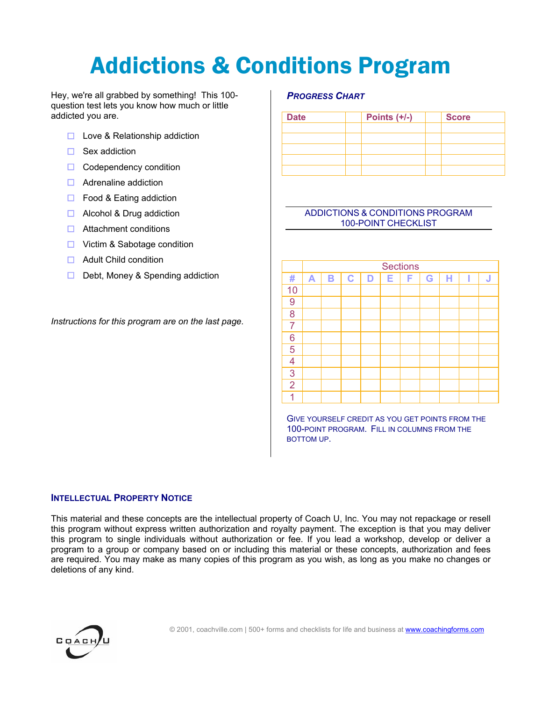# Addictions & Conditions Program

Hey, we're all grabbed by something! This 100 question test lets you know how much or little addicted you are.

- $\Box$  Love & Relationship addiction
- $\Box$  Sex addiction
- $\Box$  Codependency condition
- $\Box$  Adrenaline addiction
- $\Box$  Food & Eating addiction
- Alcohol & Drug addiction
- $\Box$  Attachment conditions
- **□** Victim & Sabotage condition
- $\Box$  Adult Child condition
- $\Box$  Debt, Money & Spending addiction

*Instructions for this program are on the last page.*

## *PROGRESS CHART*

| <b>Date</b> | Points $(+/-)$ | <b>Score</b> |  |  |  |
|-------------|----------------|--------------|--|--|--|
|             |                |              |  |  |  |
|             |                |              |  |  |  |
|             |                |              |  |  |  |
|             |                |              |  |  |  |
|             |                |              |  |  |  |

## ADDICTIONS & CONDITIONS PROGRAM 100-POINT CHECKLIST

|                | <b>Sections</b>  |   |             |   |   |   |   |   |  |   |  |
|----------------|------------------|---|-------------|---|---|---|---|---|--|---|--|
| #              | $\blacktriangle$ | B | $\mathbf C$ | D | Е | F | G | н |  | J |  |
| 10             |                  |   |             |   |   |   |   |   |  |   |  |
| 9              |                  |   |             |   |   |   |   |   |  |   |  |
| 8              |                  |   |             |   |   |   |   |   |  |   |  |
| $\overline{7}$ |                  |   |             |   |   |   |   |   |  |   |  |
| 6              |                  |   |             |   |   |   |   |   |  |   |  |
| 5              |                  |   |             |   |   |   |   |   |  |   |  |
| $\overline{4}$ |                  |   |             |   |   |   |   |   |  |   |  |
| 3              |                  |   |             |   |   |   |   |   |  |   |  |
| $\overline{2}$ |                  |   |             |   |   |   |   |   |  |   |  |
|                |                  |   |             |   |   |   |   |   |  |   |  |

GIVE YOURSELF CREDIT AS YOU GET POINTS FROM THE 100-POINT PROGRAM. FILL IN COLUMNS FROM THE BOTTOM UP.

## **INTELLECTUAL PROPERTY NOTICE**

This material and these concepts are the intellectual property of Coach U, Inc. You may not repackage or resell this program without express written authorization and royalty payment. The exception is that you may deliver this program to single individuals without authorization or fee. If you lead a workshop, develop or deliver a program to a group or company based on or including this material or these concepts, authorization and fees are required. You may make as many copies of this program as you wish, as long as you make no changes or deletions of any kind.

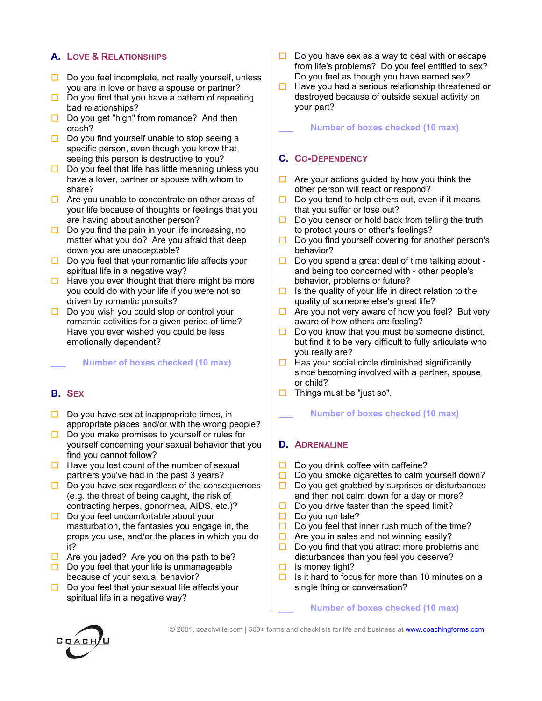# **A. LOVE & RELATIONSHIPS**

- $\square$  Do you feel incomplete, not really yourself, unless you are in love or have a spouse or partner?
- $\Box$  Do you find that you have a pattern of repeating bad relationships?
- $\Box$  Do you get "high" from romance? And then crash?
- $\square$  Do you find yourself unable to stop seeing a specific person, even though you know that seeing this person is destructive to you?
- $\Box$  Do you feel that life has little meaning unless you have a lover, partner or spouse with whom to share?
- $\Box$  Are you unable to concentrate on other areas of your life because of thoughts or feelings that you are having about another person?
- $\square$  Do you find the pain in your life increasing, no matter what you do? Are you afraid that deep down you are unacceptable?
- $\square$  Do you feel that your romantic life affects your spiritual life in a negative way?
- $\Box$  Have you ever thought that there might be more you could do with your life if you were not so driven by romantic pursuits?
- $\Box$  Do you wish you could stop or control your romantic activities for a given period of time? Have you ever wished you could be less emotionally dependent?

## **\_\_\_ Number of boxes checked (10 max)**

# **B. SEX**

- $\Box$  Do you have sex at inappropriate times, in appropriate places and/or with the wrong people?
- $\Box$  Do you make promises to yourself or rules for yourself concerning your sexual behavior that you find you cannot follow?
- $\Box$  Have you lost count of the number of sexual partners you've had in the past 3 years?
- $\Box$  Do you have sex regardless of the consequences (e.g. the threat of being caught, the risk of contracting herpes, gonorrhea, AIDS, etc.)?
- $\Box$  Do you feel uncomfortable about your masturbation, the fantasies you engage in, the props you use, and/or the places in which you do it?
- $\Box$  Are you jaded? Are you on the path to be?
- $\Box$  Do you feel that your life is unmanageable because of your sexual behavior?
- $\Box$  Do you feel that your sexual life affects your spiritual life in a negative way?
- $\Box$  Do you have sex as a way to deal with or escape from life's problems? Do you feel entitled to sex? Do you feel as though you have earned sex?
- $\Box$  Have you had a serious relationship threatened or destroyed because of outside sexual activity on your part?

**\_\_\_ Number of boxes checked (10 max)**

# **C. CO-DEPENDENCY**

- $\Box$  Are your actions guided by how you think the other person will react or respond?
- $\Box$  Do you tend to help others out, even if it means that you suffer or lose out?
- $\square$  Do you censor or hold back from telling the truth to protect yours or other's feelings?
- $\square$  Do you find yourself covering for another person's behavior?
- $\square$  Do you spend a great deal of time talking about and being too concerned with - other people's behavior, problems or future?
- $\Box$  Is the quality of your life in direct relation to the quality of someone else's great life?
- $\Box$  Are you not very aware of how you feel? But very aware of how others are feeling?
- $\Box$  Do you know that you must be someone distinct, but find it to be very difficult to fully articulate who you really are?
- $\Box$  Has your social circle diminished significantly since becoming involved with a partner, spouse or child?
- $\Box$  Things must be "just so".

## **\_\_\_ Number of boxes checked (10 max)**

## **D. ADRENALINE**

- $\Box$  Do you drink coffee with caffeine?
- $\square$  Do you smoke cigarettes to calm yourself down?
- $\Box$  Do you get grabbed by surprises or disturbances and then not calm down for a day or more?
- $\Box$  Do you drive faster than the speed limit?
- $\Box$  Do you run late?
- $\Box$  Do you feel that inner rush much of the time?
- $\Box$  Are you in sales and not winning easily?
- $\Box$  Do you find that you attract more problems and disturbances than you feel you deserve?
- $\Box$  Is money tight?
- $\Box$  Is it hard to focus for more than 10 minutes on a single thing or conversation?

## **\_\_\_ Number of boxes checked (10 max)**



© 2001, coachville.com | 500+ forms and checklists for life and business at www.coachingforms.com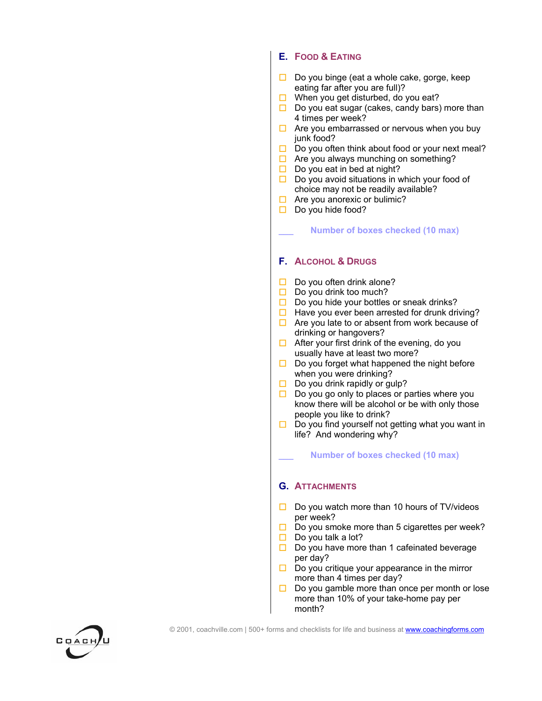## **E. FOOD & EATING**

- $\Box$  Do you binge (eat a whole cake, gorge, keep eating far after you are full)?
- $\Box$  When you get disturbed, do you eat?
- $\Box$  Do you eat sugar (cakes, candy bars) more than 4 times per week?
- $\Box$  Are you embarrassed or nervous when you buy junk food?
- $\Box$  Do you often think about food or your next meal?
- $\Box$  Are you always munching on something?
- $\Box$  Do you eat in bed at night?
- $\Box$  Do you avoid situations in which your food of choice may not be readily available?
- $\Box$  Are you anorexic or bulimic?
- $\Box$  Do you hide food?

#### **\_\_\_ Number of boxes checked (10 max)**

## **F. ALCOHOL & DRUGS**

- $\Box$  Do you often drink alone?
- $\Box$  Do you drink too much?
- $\Box$  Do you hide your bottles or sneak drinks?
- $\Box$  Have you ever been arrested for drunk driving?
- $\Box$  Are you late to or absent from work because of drinking or hangovers?
- $\Box$  After your first drink of the evening, do you usually have at least two more?
- $\Box$  Do you forget what happened the night before when you were drinking?
- $\Box$  Do you drink rapidly or gulp?
- $\Box$  Do you go only to places or parties where you know there will be alcohol or be with only those people you like to drink?
- $\Box$  Do you find yourself not getting what you want in life? And wondering why?

**\_\_\_ Number of boxes checked (10 max)**

## **G. ATTACHMENTS**

- $\Box$  Do you watch more than 10 hours of TV/videos per week?
- $\Box$  Do you smoke more than 5 cigarettes per week?
- $\Box$  Do you talk a lot?
- $\Box$  Do you have more than 1 cafeinated beverage per day?
- $\Box$  Do you critique your appearance in the mirror more than 4 times per day?
- $\Box$  Do you gamble more than once per month or lose more than 10% of your take-home pay per month?

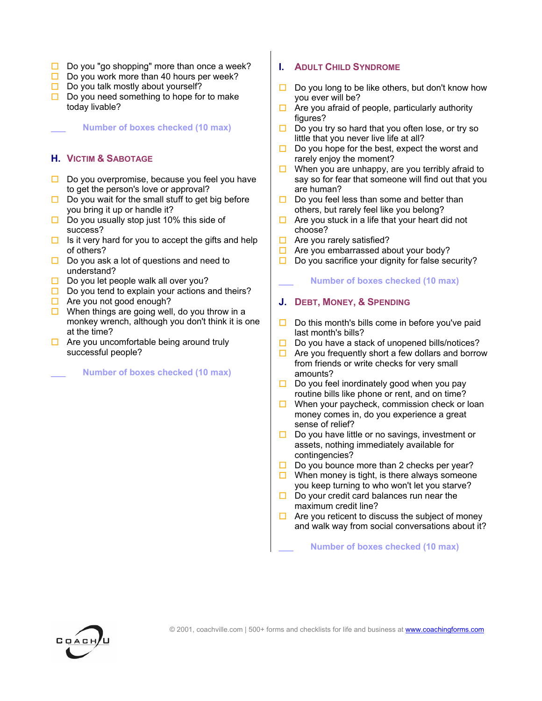- $\Box$  Do you "go shopping" more than once a week?
- $\Box$  Do you work more than 40 hours per week?
- $\Box$  Do you talk mostly about yourself?
- $\Box$  Do you need something to hope for to make today livable?

## **\_\_\_ Number of boxes checked (10 max)**

# **H. VICTIM & SABOTAGE**

- $\Box$  Do you overpromise, because you feel you have to get the person's love or approval?
- $\Box$  Do you wait for the small stuff to get big before you bring it up or handle it?
- $\Box$  Do you usually stop just 10% this side of success?
- $\Box$  Is it very hard for you to accept the gifts and help of others?
- $\Box$  Do you ask a lot of questions and need to understand?
- $\Box$  Do you let people walk all over you?
- $\Box$  Do you tend to explain your actions and theirs?
- $\Box$  Are you not good enough?
- $\Box$  When things are going well, do you throw in a monkey wrench, although you don't think it is one at the time?
- $\Box$  Are you uncomfortable being around truly successful people?

**\_\_\_ Number of boxes checked (10 max)** 

## **I. ADULT CHILD SYNDROME**

- $\square$  Do you long to be like others, but don't know how you ever will be?
- $\Box$  Are you afraid of people, particularly authority figures?
- $\Box$  Do you try so hard that you often lose, or try so little that you never live life at all?
- $\Box$  Do you hope for the best, expect the worst and rarely enjoy the moment?
- $\Box$  When you are unhappy, are you terribly afraid to say so for fear that someone will find out that you are human?
- $\Box$  Do you feel less than some and better than others, but rarely feel like you belong?
- $\Box$  Are you stuck in a life that your heart did not choose?
- $\Box$  Are you rarely satisfied?
- $\Box$  Are you embarrassed about your body?
- $\square$  Do you sacrifice your dignity for false security?

## **\_\_\_ Number of boxes checked (10 max)**

## **J. DEBT, MONEY, & SPENDING**

- $\Box$  Do this month's bills come in before you've paid last month's bills?
- $\square$  Do you have a stack of unopened bills/notices?
- $\Box$  Are you frequently short a few dollars and borrow from friends or write checks for very small amounts?
- $\Box$  Do you feel inordinately good when you pay routine bills like phone or rent, and on time?
- $\Box$  When your paycheck, commission check or loan money comes in, do you experience a great sense of relief?
- $\Box$  Do you have little or no savings, investment or assets, nothing immediately available for contingencies?
- $\Box$  Do you bounce more than 2 checks per year?
- $\Box$  When money is tight, is there always someone you keep turning to who won't let you starve?
- $\Box$  Do your credit card balances run near the maximum credit line?
- $\Box$  Are you reticent to discuss the subject of money and walk way from social conversations about it?

## **\_\_\_ Number of boxes checked (10 max)**